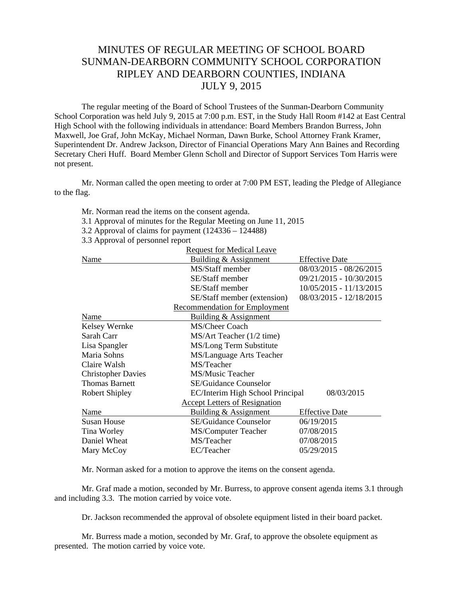## MINUTES OF REGULAR MEETING OF SCHOOL BOARD SUNMAN-DEARBORN COMMUNITY SCHOOL CORPORATION RIPLEY AND DEARBORN COUNTIES, INDIANA JULY 9, 2015

The regular meeting of the Board of School Trustees of the Sunman-Dearborn Community School Corporation was held July 9, 2015 at 7:00 p.m. EST, in the Study Hall Room #142 at East Central High School with the following individuals in attendance: Board Members Brandon Burress, John Maxwell, Joe Graf, John McKay, Michael Norman, Dawn Burke, School Attorney Frank Kramer, Superintendent Dr. Andrew Jackson, Director of Financial Operations Mary Ann Baines and Recording Secretary Cheri Huff. Board Member Glenn Scholl and Director of Support Services Tom Harris were not present.

Mr. Norman called the open meeting to order at 7:00 PM EST, leading the Pledge of Allegiance to the flag.

- Mr. Norman read the items on the consent agenda.
- 3.1 Approval of minutes for the Regular Meeting on June 11, 2015
- 3.2 Approval of claims for payment (124336 124488)
- 3.3 Approval of personnel report

|                           | <b>Request for Medical Leave</b>     |                         |
|---------------------------|--------------------------------------|-------------------------|
| Name                      | Building & Assignment                | <b>Effective Date</b>   |
|                           | MS/Staff member                      | 08/03/2015 - 08/26/2015 |
|                           | SE/Staff member                      | 09/21/2015 - 10/30/2015 |
|                           | SE/Staff member                      | 10/05/2015 - 11/13/2015 |
|                           | SE/Staff member (extension)          | 08/03/2015 - 12/18/2015 |
|                           | <b>Recommendation for Employment</b> |                         |
| Name                      | Building & Assignment                |                         |
| Kelsey Wernke             | MS/Cheer Coach                       |                         |
| Sarah Carr                | MS/Art Teacher (1/2 time)            |                         |
| Lisa Spangler             | MS/Long Term Substitute              |                         |
| Maria Sohns               | MS/Language Arts Teacher             |                         |
| Claire Walsh              | MS/Teacher                           |                         |
| <b>Christopher Davies</b> | MS/Music Teacher                     |                         |
| <b>Thomas Barnett</b>     | <b>SE/Guidance Counselor</b>         |                         |
| <b>Robert Shipley</b>     | EC/Interim High School Principal     | 08/03/2015              |
|                           | <b>Accept Letters of Resignation</b> |                         |
| Name                      | Building & Assignment                | <b>Effective Date</b>   |
| <b>Susan House</b>        | <b>SE/Guidance Counselor</b>         | 06/19/2015              |
| Tina Worley               | <b>MS/Computer Teacher</b>           | 07/08/2015              |
| Daniel Wheat              | MS/Teacher                           | 07/08/2015              |
| Mary McCoy                | EC/Teacher                           | 05/29/2015              |

Mr. Norman asked for a motion to approve the items on the consent agenda.

Mr. Graf made a motion, seconded by Mr. Burress, to approve consent agenda items 3.1 through and including 3.3. The motion carried by voice vote.

Dr. Jackson recommended the approval of obsolete equipment listed in their board packet.

 Mr. Burress made a motion, seconded by Mr. Graf, to approve the obsolete equipment as presented. The motion carried by voice vote.